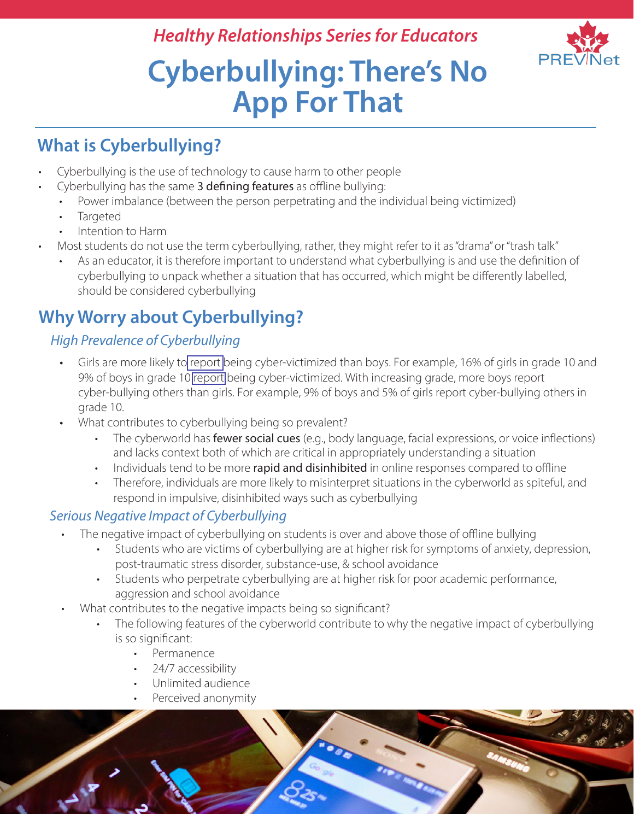## *Healthy Relationships Series for Educators*



# **Cyberbullying: There's No App For That**

## **What is Cyberbullying?**

- Cyberbullying is the use of technology to cause harm to other people
- Cyberbullying has the same 3 defining features as offline bullying:
	- Power imbalance (between the person perpetrating and the individual being victimized)
	- **Targeted**
	- Intention to Harm
- Most students do not use the term cyberbullying, rather, they might refer to it as "drama" or "trash talk"
	- As an educator, it is therefore important to understand what cyberbullying is and use the definition of cyberbullying to unpack whether a situation that has occurred, which might be differently labelled, should be considered cyberbullying

## **Why Worry about Cyberbullying?**

### *High Prevalence of Cyberbullying*

- Girls are more likely to [report](https://www.canada.ca/en/public-health/services/publications/science-research-data/youth-findings-health-behaviour-school-aged-children-study.html) being cyber-victimized than boys. For example, 16% of girls in grade 10 and 9% of boys in grade 10 [report](https://www.canada.ca/en/public-health/services/publications/science-research-data/youth-findings-health-behaviour-school-aged-children-study.html) being cyber-victimized. With increasing grade, more boys report cyber-bullying others than girls. For example, 9% of boys and 5% of girls report cyber-bullying others in grade 10.
- What contributes to cyberbullying being so prevalent?
	- The cyberworld has fewer social cues (e.g., body language, facial expressions, or voice inflections) and lacks context both of which are critical in appropriately understanding a situation
	- Individuals tend to be more rapid and disinhibited in online responses compared to offline
	- Therefore, individuals are more likely to misinterpret situations in the cyberworld as spiteful, and respond in impulsive, disinhibited ways such as cyberbullying

#### *Serious Negative Impact of Cyberbullying*

- The negative impact of cyberbullying on students is over and above those of offline bullying
	- Students who are victims of cyberbullying are at higher risk for symptoms of anxiety, depression, post-traumatic stress disorder, substance-use, & school avoidance
	- Students who perpetrate cyberbullying are at higher risk for poor academic performance, aggression and school avoidance
- What contributes to the negative impacts being so significant?
	- The following features of the cyberworld contribute to why the negative impact of cyberbullying is so significant:
		- Permanence
		- 24/7 accessibility
		- Unlimited audience
		- Perceived anonymity